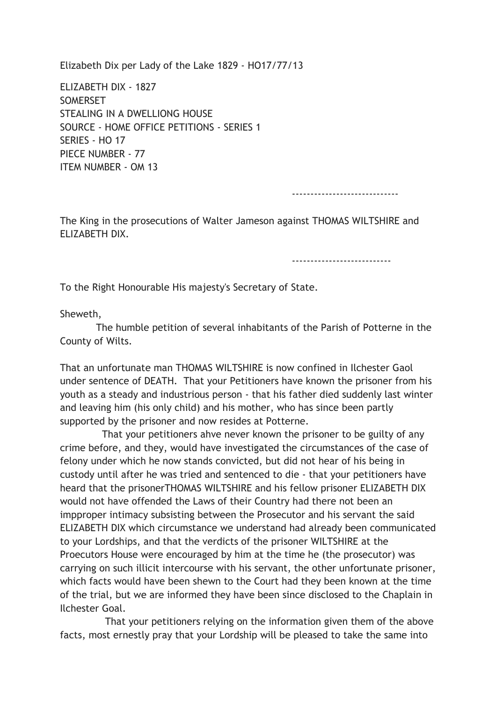Elizabeth Dix per Lady of the Lake 1829 - HO17/77/13

ELIZABETH DIX - 1827 **SOMERSET** STEALING IN A DWELLIONG HOUSE SOURCE - HOME OFFICE PETITIONS - SERIES 1 SERIES - HO 17 PIECE NUMBER - 77 ITEM NUMBER - OM 13

-----------------------------

The King in the prosecutions of Walter Jameson against THOMAS WILTSHIRE and ELIZABETH DIX.

---------------------------

To the Right Honourable His majesty's Secretary of State.

Sheweth,

 The humble petition of several inhabitants of the Parish of Potterne in the County of Wilts.

That an unfortunate man THOMAS WILTSHIRE is now confined in Ilchester Gaol under sentence of DEATH. That your Petitioners have known the prisoner from his youth as a steady and industrious person - that his father died suddenly last winter and leaving him (his only child) and his mother, who has since been partly supported by the prisoner and now resides at Potterne.

 That your petitioners ahve never known the prisoner to be guilty of any crime before, and they, would have investigated the circumstances of the case of felony under which he now stands convicted, but did not hear of his being in custody until after he was tried and sentenced to die - that your petitioners have heard that the prisonerTHOMAS WILTSHIRE and his fellow prisoner ELIZABETH DIX would not have offended the Laws of their Country had there not been an impproper intimacy subsisting between the Prosecutor and his servant the said ELIZABETH DIX which circumstance we understand had already been communicated to your Lordships, and that the verdicts of the prisoner WILTSHIRE at the Proecutors House were encouraged by him at the time he (the prosecutor) was carrying on such illicit intercourse with his servant, the other unfortunate prisoner, which facts would have been shewn to the Court had they been known at the time of the trial, but we are informed they have been since disclosed to the Chaplain in Ilchester Goal.

 That your petitioners relying on the information given them of the above facts, most ernestly pray that your Lordship will be pleased to take the same into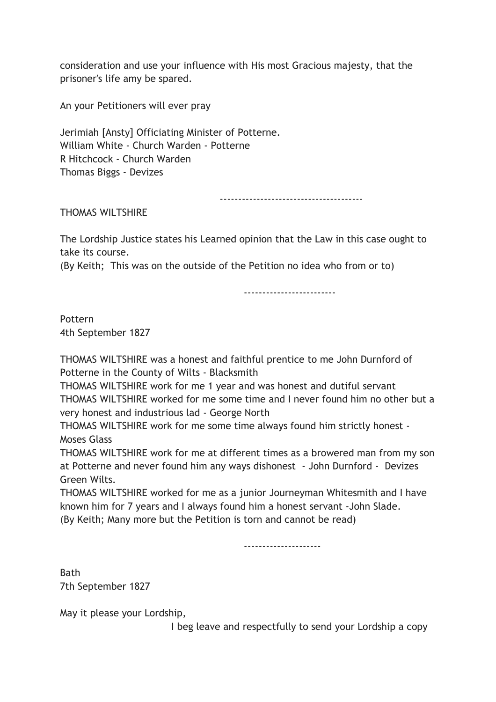consideration and use your influence with His most Gracious majesty, that the prisoner's life amy be spared.

An your Petitioners will ever pray

Jerimiah [Ansty] Officiating Minister of Potterne. William White - Church Warden - Potterne R Hitchcock - Church Warden Thomas Biggs - Devizes

---------------------------------------

THOMAS WILTSHIRE

The Lordship Justice states his Learned opinion that the Law in this case ought to take its course.

(By Keith; This was on the outside of the Petition no idea who from or to)

-------------------------

Pottern 4th September 1827

THOMAS WILTSHIRE was a honest and faithful prentice to me John Durnford of Potterne in the County of Wilts - Blacksmith

THOMAS WILTSHIRE work for me 1 year and was honest and dutiful servant THOMAS WILTSHIRE worked for me some time and I never found him no other but a very honest and industrious lad - George North

THOMAS WILTSHIRE work for me some time always found him strictly honest - Moses Glass

THOMAS WILTSHIRE work for me at different times as a browered man from my son at Potterne and never found him any ways dishonest - John Durnford - Devizes Green Wilts.

THOMAS WILTSHIRE worked for me as a junior Journeyman Whitesmith and I have known him for 7 years and I always found him a honest servant -John Slade. (By Keith; Many more but the Petition is torn and cannot be read)

---------------------

**Bath** 7th September 1827

May it please your Lordship,

I beg leave and respectfully to send your Lordship a copy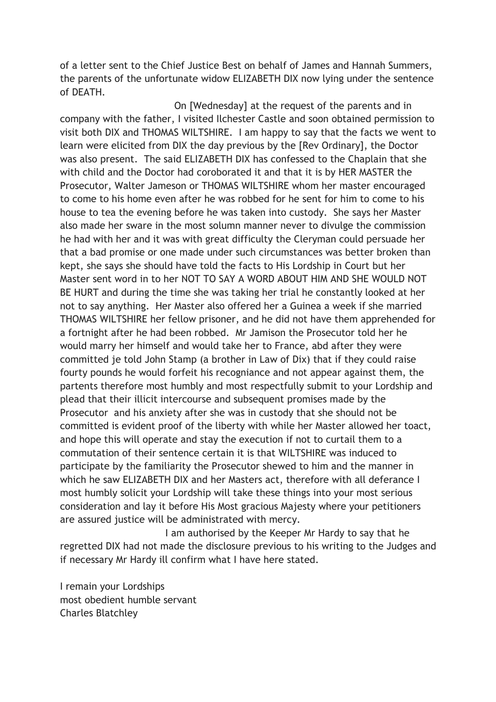of a letter sent to the Chief Justice Best on behalf of James and Hannah Summers, the parents of the unfortunate widow ELIZABETH DIX now lying under the sentence of DEATH.

 On [Wednesday] at the request of the parents and in company with the father, I visited Ilchester Castle and soon obtained permission to visit both DIX and THOMAS WILTSHIRE. I am happy to say that the facts we went to learn were elicited from DIX the day previous by the [Rev Ordinary], the Doctor was also present. The said ELIZABETH DIX has confessed to the Chaplain that she with child and the Doctor had coroborated it and that it is by HER MASTER the Prosecutor, Walter Jameson or THOMAS WILTSHIRE whom her master encouraged to come to his home even after he was robbed for he sent for him to come to his house to tea the evening before he was taken into custody. She says her Master also made her sware in the most solumn manner never to divulge the commission he had with her and it was with great difficulty the Cleryman could persuade her that a bad promise or one made under such circumstances was better broken than kept, she says she should have told the facts to His Lordship in Court but her Master sent word in to her NOT TO SAY A WORD ABOUT HIM AND SHE WOULD NOT BE HURT and during the time she was taking her trial he constantly looked at her not to say anything. Her Master also offered her a Guinea a week if she married THOMAS WILTSHIRE her fellow prisoner, and he did not have them apprehended for a fortnight after he had been robbed. Mr Jamison the Prosecutor told her he would marry her himself and would take her to France, abd after they were committed je told John Stamp (a brother in Law of Dix) that if they could raise fourty pounds he would forfeit his recogniance and not appear against them, the partents therefore most humbly and most respectfully submit to your Lordship and plead that their illicit intercourse and subsequent promises made by the Prosecutor and his anxiety after she was in custody that she should not be committed is evident proof of the liberty with while her Master allowed her toact, and hope this will operate and stay the execution if not to curtail them to a commutation of their sentence certain it is that WILTSHIRE was induced to participate by the familiarity the Prosecutor shewed to him and the manner in which he saw ELIZABETH DIX and her Masters act, therefore with all deferance I most humbly solicit your Lordship will take these things into your most serious consideration and lay it before His Most gracious Majesty where your petitioners are assured justice will be administrated with mercy.

 I am authorised by the Keeper Mr Hardy to say that he regretted DIX had not made the disclosure previous to his writing to the Judges and if necessary Mr Hardy ill confirm what I have here stated.

I remain your Lordships most obedient humble servant Charles Blatchley